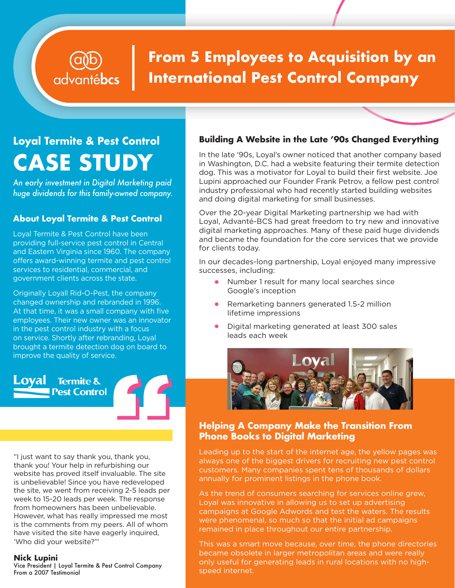# **From 5 Employees to Acquisition by an International Pest Control Company**

# **Loyal Termite & Pest Control CASE STUDY**

advantébcs

*An early investment in Digital Marketing paid huge dividends for this family-owned company.*

## **About Loyal Termite & Pest Control**

Loyal Termite & Pest Control have been providing full-service pest control in Central and Eastern Virginia since 1960. The company offers award-winning termite and pest control services to residential, commercial, and government clients across the state.

Originally Loyall Rid-O-Pest, the company changed ownership and rebranded in 1996. At that time, it was a small company with five employees. Their new owner was an innovator in the pest control industry with a focus on service. Shortly after rebranding, Loyal brought a termite detection dog on board to improve the quality of service.

**Termite &** .oval **Pest Control** 

"I just want to say thank you, thank you, thank you! Your help in refurbishing our website has proved itself invaluable. The site is unbelievable! Since you have redeveloped the site, we went from receiving 2-5 leads per week to 15-20 leads per week. The response from homeowners has been unbelievable. However, what has really impressed me most is the comments from my peers. All of whom have visited the site have eagerly inquired, 'Who did your website?'"

#### **Nick Lupini**

Vice President | Loyal Termite & Pest Control Company From a 2007 Testimonial

#### **Building A Website in the Late '90s Changed Everything**

In the late '90s, Loyal's owner noticed that another company based in Washington, D.C. had a website featuring their termite detection dog. This was a motivator for Loyal to build their first website. Joe Lupini approached our Founder Frank Petrov, a fellow pest control industry professional who had recently started building websites and doing digital marketing for small businesses.

Over the 20-year Digital Marketing partnership we had with Loyal, Advanté-BCS had great freedom to try new and innovative digital marketing approaches. Many of these paid huge dividends and became the foundation for the core services that we provide for clients today.

In our decades-long partnership, Loyal enjoyed many impressive successes, including:

- Number 1 result for many local searches since Google's inception
- Remarketing banners generated 1.5-2 million lifetime impressions
- Digital marketing generated at least 300 sales leads each week



#### **Helping A Company Make the Transition From Phone Books to Digital Marketing**

Leading up to the start of the internet age, the yellow pages was always one of the biggest drivers for recruiting new pest control customers. Many companies spent tens of thousands of dollars annually for prominent listings in the phone book.

As the trend of consumers searching for services online grew, Loyal was innovative in allowing us to set up advertising campaigns at Google Adwords and test the waters. The results were phenomenal, so much so that the initial ad campaigns remained in place throughout our entire partnership.

This was a smart move because, over time, the phone directories became obsolete in larger metropolitan areas and were really only useful for generating leads in rural locations with no highspeed internet.